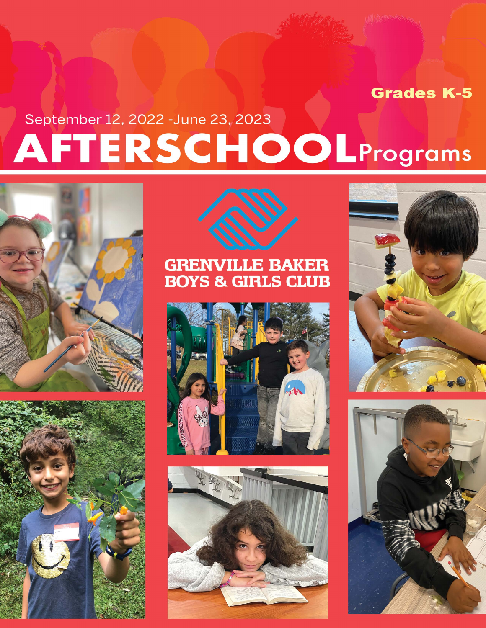# **Grades K-5**

# September 12, 2022 - June 23, 2023 **AFTERSCHOOLPrograms**







### **GRENVILLE BAKER BOYS & GIRLS CLUB**







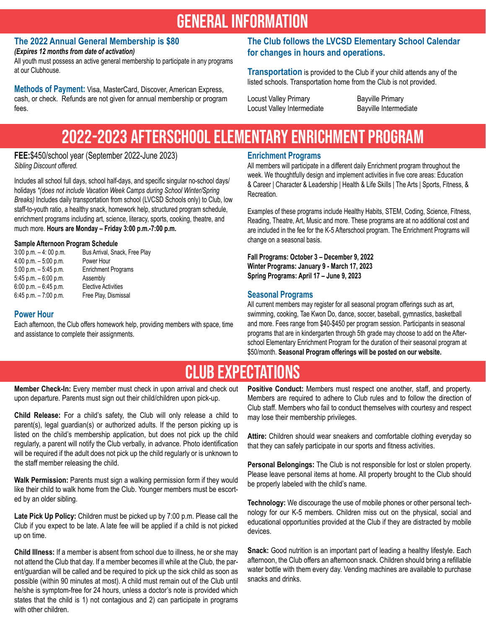### **GENERAL INFORMATION**

#### **The 2022 Annual General Membership is \$80**

*(Expires 12 months from date of activation)* 

All youth must possess an active general membership to participate in any programs at our Clubhouse.

**Methods of Payment:** Visa, MasterCard, Discover, American Express, cash, or check. Refunds are not given for annual membership or program fees.

#### **The Club follows the LVCSD Elementary School Calendar for changes in hours and operations.**

**Transportation** is provided to the Club if your child attends any of the listed schools. Transportation home from the Club is not provided.

Locust Valley Primary **Bayville Primary** Locust Valley Intermediate Bayville Intermediate

### 2022-2023 Afterschool Elementary Enrichment Program

**FEE:**\$450/school year (September 2022-June 2023) *Sibling Discount offered.* 

Includes all school full days, school half-days, and specific singular no-school days/ holidays *\*(does not include Vacation Week Camps during School Winter/Spring Breaks)* Includes daily transportation from school (LVCSD Schools only) to Club, low staff-to-youth ratio, a healthy snack, homework help, structured program schedule, enrichment programs including art, science, literacy, sports, cooking, theatre, and much more. **Hours are Monday – Friday 3:00 p.m.-7:00 p.m.**

#### **Sample Afternoon Program Schedule**

| Bus Arrival, Snack, Free Play |
|-------------------------------|
| Power Hour                    |
| <b>Enrichment Programs</b>    |
| Assembly                      |
| <b>Elective Activities</b>    |
| Free Play, Dismissal          |
|                               |

#### **Power Hour**

Each afternoon, the Club offers homework help, providing members with space, time and assistance to complete their assignments.

#### **Enrichment Programs**

All members will participate in a different daily Enrichment program throughout the week. We thoughtfully design and implement activities in five core areas: Education & Career | Character & Leadership | Health & Life Skills | The Arts | Sports, Fitness, & Recreation.

Examples of these programs include Healthy Habits, STEM, Coding, Science, Fitness, Reading, Theatre, Art, Music and more. These programs are at no additional cost and are included in the fee for the K-5 Afterschool program. The Enrichment Programs will change on a seasonal basis.

**Fall Programs: October 3 – December 9, 2022 Winter Programs: January 9 - March 17, 2023 Spring Programs: April 17 – June 9, 2023** 

#### **Seasonal Programs**

All current members may register for all seasonal program offerings such as art, swimming, cooking, Tae Kwon Do, dance, soccer, baseball, gymnastics, basketball and more. Fees range from \$40-\$450 per program session. Participants in seasonal programs that are in kindergarten through 5th grade may choose to add on the Afterschool Elementary Enrichment Program for the duration of their seasonal program at \$50/month. **Seasonal Program offerings will be posted on our website.**

### Club Expectations

**Member Check-In:** Every member must check in upon arrival and check out upon departure. Parents must sign out their child/children upon pick-up.

**Child Release:** For a child's safety, the Club will only release a child to parent(s), legal guardian(s) or authorized adults. If the person picking up is listed on the child's membership application, but does not pick up the child regularly, a parent will notify the Club verbally, in advance. Photo identification will be required if the adult does not pick up the child regularly or is unknown to the staff member releasing the child.

**Walk Permission:** Parents must sign a walking permission form if they would like their child to walk home from the Club. Younger members must be escorted by an older sibling.

**Late Pick Up Policy:** Children must be picked up by 7:00 p.m. Please call the Club if you expect to be late. A late fee will be applied if a child is not picked up on time.

**Child Illness:** If a member is absent from school due to illness, he or she may not attend the Club that day. If a member becomes ill while at the Club, the parent/guardian will be called and be required to pick up the sick child as soon as possible (within 90 minutes at most). A child must remain out of the Club until he/she is symptom-free for 24 hours, unless a doctor's note is provided which states that the child is 1) not contagious and 2) can participate in programs with other children.

**Positive Conduct:** Members must respect one another, staff, and property. Members are required to adhere to Club rules and to follow the direction of Club staff. Members who fail to conduct themselves with courtesy and respect may lose their membership privileges.

**Attire:** Children should wear sneakers and comfortable clothing everyday so that they can safely participate in our sports and fitness activities.

**Personal Belongings:** The Club is not responsible for lost or stolen property. Please leave personal items at home. All property brought to the Club should be properly labeled with the child's name.

**Technology:** We discourage the use of mobile phones or other personal technology for our K-5 members. Children miss out on the physical, social and educational opportunities provided at the Club if they are distracted by mobile devices.

**Snack:** Good nutrition is an important part of leading a healthy lifestyle. Each afternoon, the Club offers an afternoon snack. Children should bring a refillable water bottle with them every day. Vending machines are available to purchase snacks and drinks.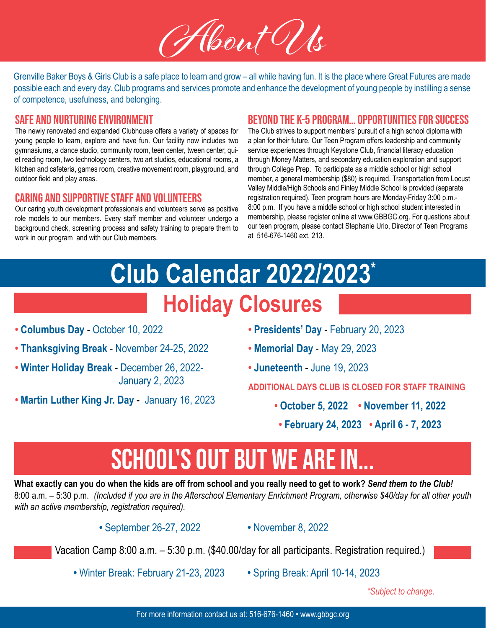

Grenville Baker Boys & Girls Club is a safe place to learn and grow – all while having fun. It is the place where Great Futures are made possible each and every day. Club programs and services promote and enhance the development of young people by instilling a sense of competence, usefulness, and belonging.

#### Safe and Nurturing Environment

The newly renovated and expanded Clubhouse offers a variety of spaces for young people to learn, explore and have fun. Our facility now includes two gymnasiums, a dance studio, community room, teen center, tween center, quiet reading room, two technology centers, two art studios, educational rooms, a kitchen and cafeteria, games room, creative movement room, playground, and outdoor field and play areas.

#### Caring and Supportive Staff and Volunteers

Our caring youth development professionals and volunteers serve as positive role models to our members. Every staff member and volunteer undergo a background check, screening process and safety training to prepare them to work in our program and with our Club members.

#### Beyond the K-5 Program… Opportunities for Success

The Club strives to support members' pursuit of a high school diploma with a plan for their future. Our Teen Program offers leadership and community service experiences through Keystone Club, financial literacy education through Money Matters, and secondary education exploration and support through College Prep. To participate as a middle school or high school member, a general membership (\$80) is required. Transportation from Locust Valley Middle/High Schools and Finley Middle School is provided (separate registration required). Teen program hours are Monday-Friday 3:00 p.m.- 8:00 p.m. If you have a middle school or high school student interested in membership, please register online at www.GBBGC.org. For questions about our teen program, please contact Stephanie Urio, Director of Teen Programs at 516-676-1460 ext. 213.

### **Holiday Closures Club Calendar 2022/2023\***

- **• Columbus Day**  October 10, 2022
- **• Thanksgiving Break**  November 24-25, 2022
- **• Winter Holiday Break** December 26, 2022- January 2, 2023
- **• Martin Luther King Jr. Day** January 16, 2023
- **• Presidents' Day** February 20, 2023
- **• Memorial Day** May 29, 2023
- **• Juneteenth** June 19, 2023

**ADDITIONAL DAYS CLUB IS CLOSED FOR STAFF TRAINING**

- **• October 5, 2022 • November 11, 2022**
- **• February 24, 2023 • April 6 7, 2023**

# SCHOOL'S OUT BUT WE ARE IN...

**What exactly can you do when the kids are off from school and you really need to get to work?** *Send them to the Club!* 8:00 a.m. – 5:30 p.m. *(Included if you are in the Afterschool Elementary Enrichment Program, otherwise \$40/day for all other youth with an active membership, registration required).*

**•** September 26-27, 2022 **•** November 8, 2022

Vacation Camp 8:00 a.m. – 5:30 p.m. (\$40.00/day for all participants. Registration required.)

**•** Winter Break: February 21-23, 2023 **•** Spring Break: April 10-14, 2023

*\*Subject to change.*